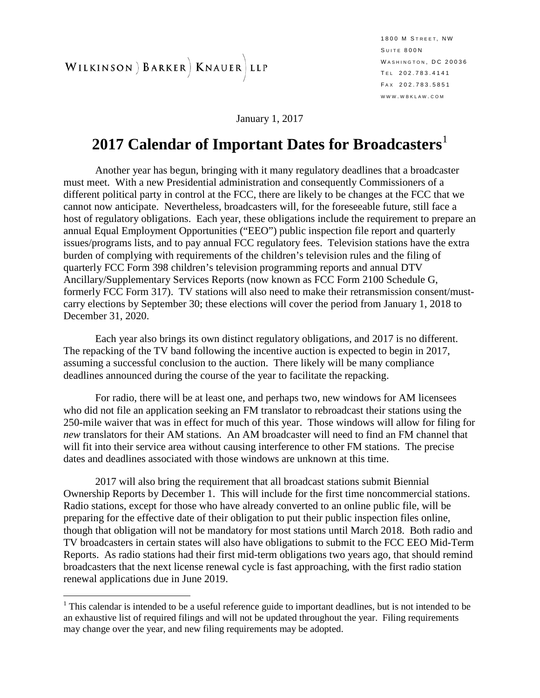WILKINSON ) BARKER | KNAUER LLP

January 1, 2017

#### **2017 Calendar of Important Dates for Broadcasters**[1](#page-0-0)

Another year has begun, bringing with it many regulatory deadlines that a broadcaster must meet. With a new Presidential administration and consequently Commissioners of a different political party in control at the FCC, there are likely to be changes at the FCC that we cannot now anticipate. Nevertheless, broadcasters will, for the foreseeable future, still face a host of regulatory obligations. Each year, these obligations include the requirement to prepare an annual Equal Employment Opportunities ("EEO") public inspection file report and quarterly issues/programs lists, and to pay annual FCC regulatory fees. Television stations have the extra burden of complying with requirements of the children's television rules and the filing of quarterly FCC Form 398 children's television programming reports and annual DTV Ancillary/Supplementary Services Reports (now known as FCC Form 2100 Schedule G, formerly FCC Form 317). TV stations will also need to make their retransmission consent/mustcarry elections by September 30; these elections will cover the period from January 1, 2018 to December 31, 2020.

Each year also brings its own distinct regulatory obligations, and 2017 is no different. The repacking of the TV band following the incentive auction is expected to begin in 2017, assuming a successful conclusion to the auction. There likely will be many compliance deadlines announced during the course of the year to facilitate the repacking.

For radio, there will be at least one, and perhaps two, new windows for AM licensees who did not file an application seeking an FM translator to rebroadcast their stations using the 250-mile waiver that was in effect for much of this year. Those windows will allow for filing for *new* translators for their AM stations. An AM broadcaster will need to find an FM channel that will fit into their service area without causing interference to other FM stations. The precise dates and deadlines associated with those windows are unknown at this time.

2017 will also bring the requirement that all broadcast stations submit Biennial Ownership Reports by December 1. This will include for the first time noncommercial stations. Radio stations, except for those who have already converted to an online public file, will be preparing for the effective date of their obligation to put their public inspection files online, though that obligation will not be mandatory for most stations until March 2018. Both radio and TV broadcasters in certain states will also have obligations to submit to the FCC EEO Mid-Term Reports. As radio stations had their first mid-term obligations two years ago, that should remind broadcasters that the next license renewal cycle is fast approaching, with the first radio station renewal applications due in June 2019.

<span id="page-0-0"></span> $1$  This calendar is intended to be a useful reference guide to important deadlines, but is not intended to be an exhaustive list of required filings and will not be updated throughout the year. Filing requirements may change over the year, and new filing requirements may be adopted.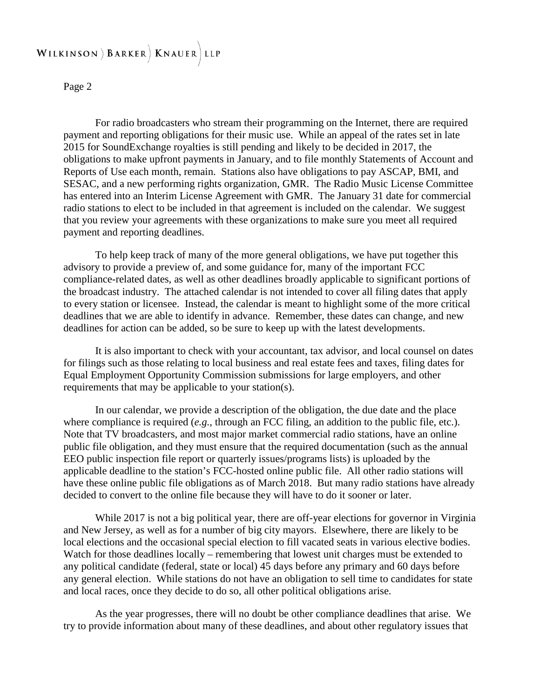#### WILKINSON ) BARKER | KNAUER LLP

#### Page 2

For radio broadcasters who stream their programming on the Internet, there are required payment and reporting obligations for their music use. While an appeal of the rates set in late 2015 for SoundExchange royalties is still pending and likely to be decided in 2017, the obligations to make upfront payments in January, and to file monthly Statements of Account and Reports of Use each month, remain. Stations also have obligations to pay ASCAP, BMI, and SESAC, and a new performing rights organization, GMR. The Radio Music License Committee has entered into an Interim License Agreement with GMR. The January 31 date for commercial radio stations to elect to be included in that agreement is included on the calendar. We suggest that you review your agreements with these organizations to make sure you meet all required payment and reporting deadlines.

To help keep track of many of the more general obligations, we have put together this advisory to provide a preview of, and some guidance for, many of the important FCC compliance-related dates, as well as other deadlines broadly applicable to significant portions of the broadcast industry. The attached calendar is not intended to cover all filing dates that apply to every station or licensee. Instead, the calendar is meant to highlight some of the more critical deadlines that we are able to identify in advance. Remember, these dates can change, and new deadlines for action can be added, so be sure to keep up with the latest developments.

It is also important to check with your accountant, tax advisor, and local counsel on dates for filings such as those relating to local business and real estate fees and taxes, filing dates for Equal Employment Opportunity Commission submissions for large employers, and other requirements that may be applicable to your station(s).

In our calendar, we provide a description of the obligation, the due date and the place where compliance is required (*e.g.*, through an FCC filing, an addition to the public file, etc.). Note that TV broadcasters, and most major market commercial radio stations, have an online public file obligation, and they must ensure that the required documentation (such as the annual EEO public inspection file report or quarterly issues/programs lists) is uploaded by the applicable deadline to the station's FCC-hosted online public file. All other radio stations will have these online public file obligations as of March 2018. But many radio stations have already decided to convert to the online file because they will have to do it sooner or later.

While 2017 is not a big political year, there are off-year elections for governor in Virginia and New Jersey, as well as for a number of big city mayors. Elsewhere, there are likely to be local elections and the occasional special election to fill vacated seats in various elective bodies. Watch for those deadlines locally – remembering that lowest unit charges must be extended to any political candidate (federal, state or local) 45 days before any primary and 60 days before any general election. While stations do not have an obligation to sell time to candidates for state and local races, once they decide to do so, all other political obligations arise.

As the year progresses, there will no doubt be other compliance deadlines that arise. We try to provide information about many of these deadlines, and about other regulatory issues that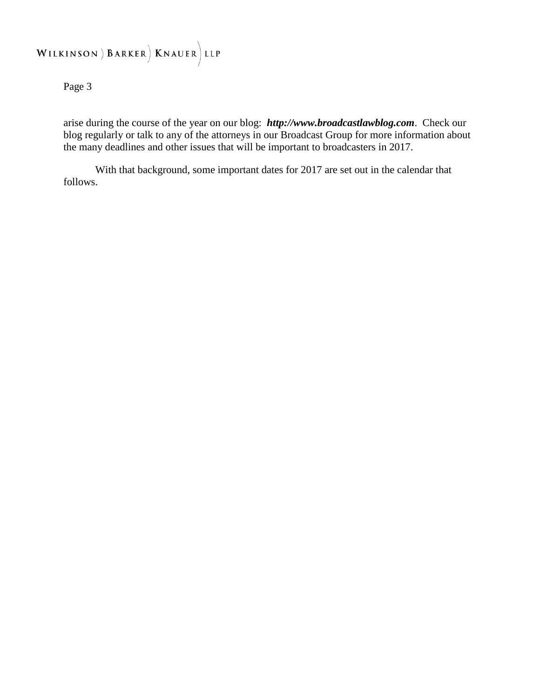# WILKINSON ) BARKER | KNAUER LLP

Page 3

arise during the course of the year on our blog: *http://www.broadcastlawblog.com*. Check our blog regularly or talk to any of the attorneys in our Broadcast Group for more information about the many deadlines and other issues that will be important to broadcasters in 2017.

With that background, some important dates for 2017 are set out in the calendar that follows.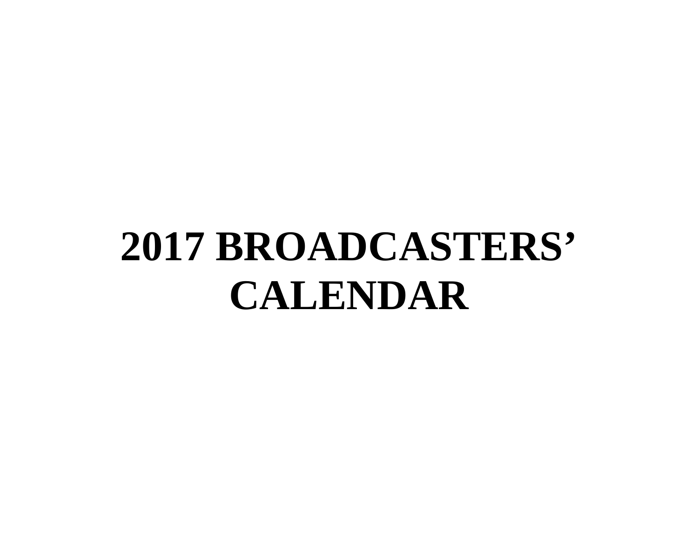# **2017 BROADCASTERS' CALENDAR**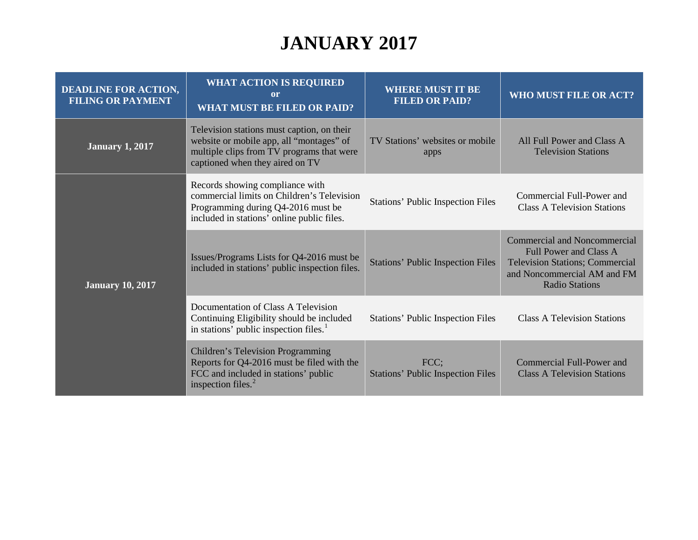# **JANUARY 2017**

| <b>DEADLINE FOR ACTION,</b><br><b>FILING OR PAYMENT</b> | <b>WHAT ACTION IS REQUIRED</b><br>or<br><b>WHAT MUST BE FILED OR PAID?</b>                                                                                             | <b>WHERE MUST IT BE</b><br><b>FILED OR PAID?</b> | WHO MUST FILE OR ACT?                                                                                                                                           |
|---------------------------------------------------------|------------------------------------------------------------------------------------------------------------------------------------------------------------------------|--------------------------------------------------|-----------------------------------------------------------------------------------------------------------------------------------------------------------------|
| <b>January 1, 2017</b>                                  | Television stations must caption, on their<br>website or mobile app, all "montages" of<br>multiple clips from TV programs that were<br>captioned when they aired on TV | TV Stations' websites or mobile<br>apps          | All Full Power and Class A<br><b>Television Stations</b>                                                                                                        |
| <b>January 10, 2017</b>                                 | Records showing compliance with<br>commercial limits on Children's Television<br>Programming during Q4-2016 must be<br>included in stations' online public files.      | <b>Stations' Public Inspection Files</b>         | Commercial Full-Power and<br><b>Class A Television Stations</b>                                                                                                 |
|                                                         | Issues/Programs Lists for Q4-2016 must be<br>included in stations' public inspection files.                                                                            | <b>Stations' Public Inspection Files</b>         | <b>Commercial and Noncommercial</b><br>Full Power and Class A<br><b>Television Stations; Commercial</b><br>and Noncommercial AM and FM<br><b>Radio Stations</b> |
|                                                         | Documentation of Class A Television<br>Continuing Eligibility should be included<br>in stations' public inspection files. <sup>1</sup>                                 | <b>Stations' Public Inspection Files</b>         | <b>Class A Television Stations</b>                                                                                                                              |
|                                                         | <b>Children's Television Programming</b><br>Reports for Q4-2016 must be filed with the<br>FCC and included in stations' public<br>inspection files. $2$                | FCC;<br><b>Stations' Public Inspection Files</b> | Commercial Full-Power and<br><b>Class A Television Stations</b>                                                                                                 |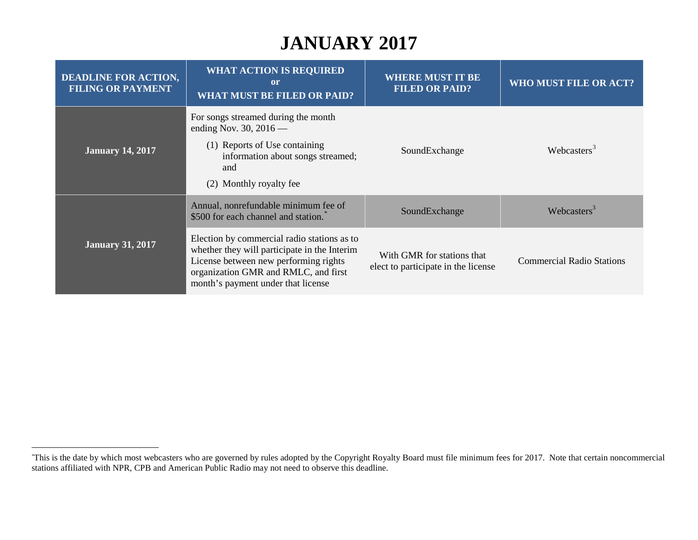# <span id="page-5-0"></span>**JANUARY 2017**

| <b>DEADLINE FOR ACTION,</b><br><b>FILING OR PAYMENT</b> | <b>WHAT ACTION IS REQUIRED</b><br><sub>or</sub><br><b>WHAT MUST BE FILED OR PAID?</b>                                                                                                                              | <b>WHERE MUST IT BE</b><br><b>FILED OR PAID?</b>                  | WHO MUST FILE OR ACT?            |
|---------------------------------------------------------|--------------------------------------------------------------------------------------------------------------------------------------------------------------------------------------------------------------------|-------------------------------------------------------------------|----------------------------------|
| <b>January 14, 2017</b>                                 | For songs streamed during the month<br>ending Nov. 30, $2016$ —<br>(1) Reports of Use containing<br>information about songs streamed;<br>and<br>(2) Monthly royalty fee                                            | SoundExchange                                                     | Webcasters <sup>3</sup>          |
| <b>January 31, 2017</b>                                 | Annual, nonrefundable minimum fee of<br>\$500 for each channel and station.                                                                                                                                        | SoundExchange                                                     | Webcasters <sup>3</sup>          |
|                                                         | Election by commercial radio stations as to<br>whether they will participate in the Interim<br>License between new performing rights<br>organization GMR and RMLC, and first<br>month's payment under that license | With GMR for stations that<br>elect to participate in the license | <b>Commercial Radio Stations</b> |

 <sup>\*</sup> This is the date by which most webcasters who are governed by rules adopted by the Copyright Royalty Board must file minimum fees for 2017. Note that certain noncommercial stations affiliated with NPR, CPB and American Public Radio may not need to observe this deadline.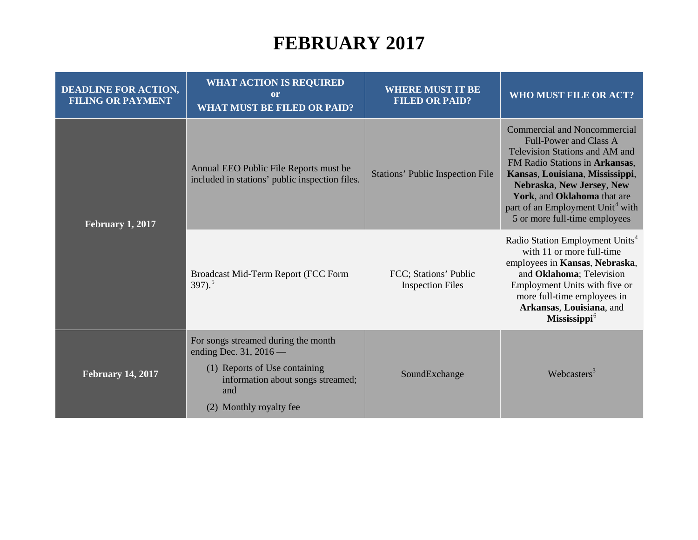#### <span id="page-6-1"></span>**FEBRUARY 2017**

<span id="page-6-0"></span>

| <b>DEADLINE FOR ACTION,</b><br><b>FILING OR PAYMENT</b> | <b>WHAT ACTION IS REQUIRED</b><br>$\mathbf{or}$<br><b>WHAT MUST BE FILED OR PAID?</b>                                                                                 | <b>WHERE MUST IT BE</b><br><b>FILED OR PAID?</b> | <b>WHO MUST FILE OR ACT?</b>                                                                                                                                                                                                                                                                                             |
|---------------------------------------------------------|-----------------------------------------------------------------------------------------------------------------------------------------------------------------------|--------------------------------------------------|--------------------------------------------------------------------------------------------------------------------------------------------------------------------------------------------------------------------------------------------------------------------------------------------------------------------------|
| <b>February 1, 2017</b>                                 | Annual EEO Public File Reports must be<br>included in stations' public inspection files.                                                                              | <b>Stations' Public Inspection File</b>          | <b>Commercial and Noncommercial</b><br><b>Full-Power and Class A</b><br>Television Stations and AM and<br>FM Radio Stations in Arkansas,<br>Kansas, Louisiana, Mississippi,<br>Nebraska, New Jersey, New<br>York, and Oklahoma that are<br>part of an Employment Unit <sup>4</sup> with<br>5 or more full-time employees |
|                                                         | Broadcast Mid-Term Report (FCC Form<br>$397)$ <sup>5</sup>                                                                                                            | FCC; Stations' Public<br><b>Inspection Files</b> | Radio Station Employment Units <sup>4</sup><br>with 11 or more full-time<br>employees in Kansas, Nebraska,<br>and Oklahoma; Television<br>Employment Units with five or<br>more full-time employees in<br>Arkansas, Louisiana, and<br>Mississippi <sup>6</sup>                                                           |
| <b>February 14, 2017</b>                                | For songs streamed during the month<br>ending Dec. 31, 2016 —<br>(1) Reports of Use containing<br>information about songs streamed;<br>and<br>(2) Monthly royalty fee | SoundExchange                                    | Webcasters <sup>3</sup>                                                                                                                                                                                                                                                                                                  |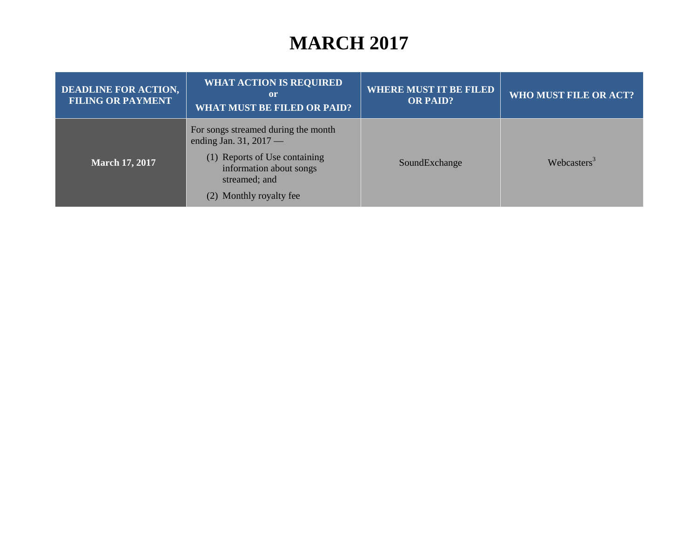## <span id="page-7-3"></span><span id="page-7-2"></span><span id="page-7-1"></span><span id="page-7-0"></span>**MARCH 2017**

| <b>DEADLINE FOR ACTION,</b><br><b>FILING OR PAYMENT</b> | <b>WHAT ACTION IS REQUIRED</b><br>or<br><b>WHAT MUST BE FILED OR PAID?</b>                                                                                              | <b>WHERE MUST IT BE FILED</b><br><b>OR PAID?</b> | WHO MUST FILE OR ACT?   |
|---------------------------------------------------------|-------------------------------------------------------------------------------------------------------------------------------------------------------------------------|--------------------------------------------------|-------------------------|
| <b>March 17, 2017</b>                                   | For songs streamed during the month<br>ending Jan. 31, $2017$ —<br>(1) Reports of Use containing<br>information about songs<br>streamed; and<br>(2) Monthly royalty fee | SoundExchange                                    | Webcasters <sup>3</sup> |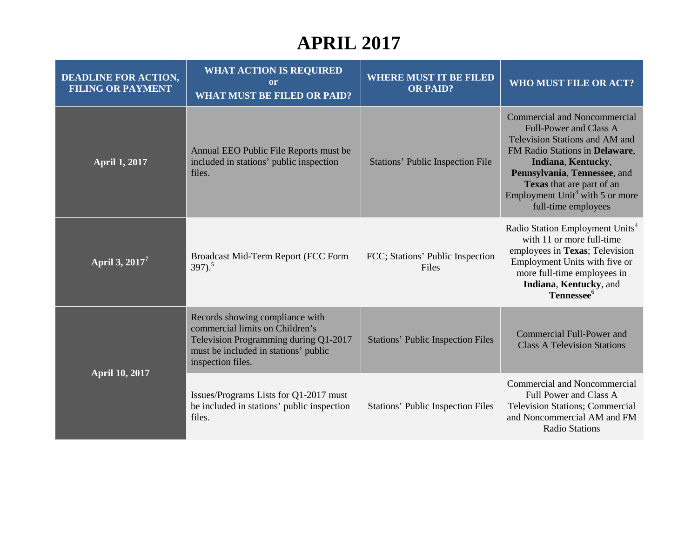# <span id="page-8-0"></span>**APRIL 2017**

| <b>DEADLINE FOR ACTION,</b><br><b>FILING OR PAYMENT</b> | <b>WHAT ACTION IS REQUIRED</b><br>or<br><b>WHAT MUST BE FILED OR PAID?</b>                                                                                               | <b>WHERE MUST IT BE FILED</b><br><b>OR PAID?</b> | <b>WHO MUST FILE OR ACT?</b>                                                                                                                                                                                                                                                                      |
|---------------------------------------------------------|--------------------------------------------------------------------------------------------------------------------------------------------------------------------------|--------------------------------------------------|---------------------------------------------------------------------------------------------------------------------------------------------------------------------------------------------------------------------------------------------------------------------------------------------------|
| <b>April 1, 2017</b>                                    | Annual EEO Public File Reports must be<br>included in stations' public inspection<br>files.                                                                              | <b>Stations' Public Inspection File</b>          | <b>Commercial and Noncommercial</b><br><b>Full-Power and Class A</b><br>Television Stations and AM and<br>FM Radio Stations in Delaware,<br>Indiana, Kentucky,<br>Pennsylvania, Tennessee, and<br>Texas that are part of an<br>Employment Unit <sup>4</sup> with 5 or more<br>full-time employees |
| April 3, 2017 <sup>7</sup>                              | Broadcast Mid-Term Report (FCC Form<br>$397).$ <sup>5</sup>                                                                                                              | FCC; Stations' Public Inspection<br>Files        | Radio Station Employment Units <sup>4</sup><br>with 11 or more full-time<br>employees in Texas; Television<br>Employment Units with five or<br>more full-time employees in<br>Indiana, Kentucky, and<br>Tennessee <sup>6</sup>                                                                    |
| <b>April 10, 2017</b>                                   | Records showing compliance with<br>commercial limits on Children's<br>Television Programming during Q1-2017<br>must be included in stations' public<br>inspection files. | <b>Stations' Public Inspection Files</b>         | Commercial Full-Power and<br><b>Class A Television Stations</b>                                                                                                                                                                                                                                   |
|                                                         | Issues/Programs Lists for Q1-2017 must<br>be included in stations' public inspection<br>files.                                                                           | <b>Stations' Public Inspection Files</b>         | Commercial and Noncommercial<br>Full Power and Class A<br><b>Television Stations; Commercial</b><br>and Noncommercial AM and FM<br><b>Radio Stations</b>                                                                                                                                          |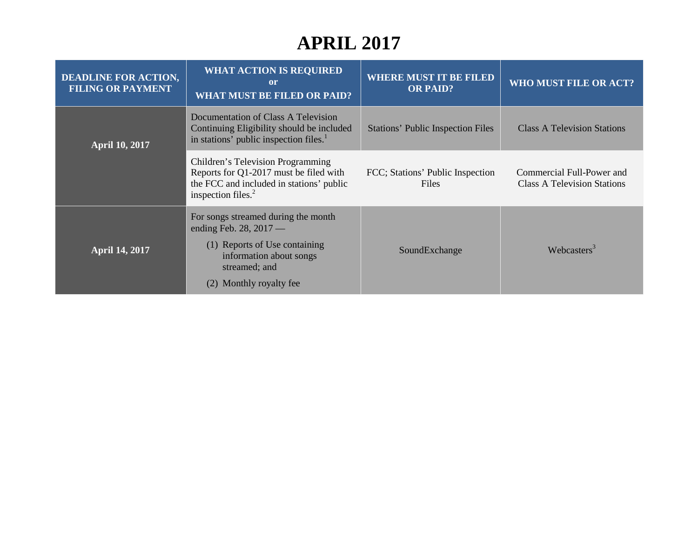# <span id="page-9-3"></span><span id="page-9-2"></span><span id="page-9-1"></span><span id="page-9-0"></span>**APRIL 2017**

| <b>DEADLINE FOR ACTION,</b><br><b>FILING OR PAYMENT</b> | <b>WHAT ACTION IS REQUIRED</b><br>$\mathbf{or}$<br><b>WHAT MUST BE FILED OR PAID?</b>                                                                                       | <b>WHERE MUST IT BE FILED</b><br><b>OR PAID?</b> | <b>WHO MUST FILE OR ACT?</b>                                    |
|---------------------------------------------------------|-----------------------------------------------------------------------------------------------------------------------------------------------------------------------------|--------------------------------------------------|-----------------------------------------------------------------|
| <b>April 10, 2017</b>                                   | Documentation of Class A Television<br>Continuing Eligibility should be included<br>in stations' public inspection files. <sup>1</sup>                                      | <b>Stations' Public Inspection Files</b>         | <b>Class A Television Stations</b>                              |
|                                                         | Children's Television Programming<br>Reports for Q1-2017 must be filed with<br>the FCC and included in stations' public<br>inspection files. $2$                            | FCC; Stations' Public Inspection<br>Files        | Commercial Full-Power and<br><b>Class A Television Stations</b> |
| <b>April 14, 2017</b>                                   | For songs streamed during the month<br>ending Feb. 28, $2017$ —<br>(1) Reports of Use containing<br>information about songs<br>streamed; and<br>Monthly royalty fee.<br>(2) | SoundExchange                                    | Webcasters <sup>3</sup>                                         |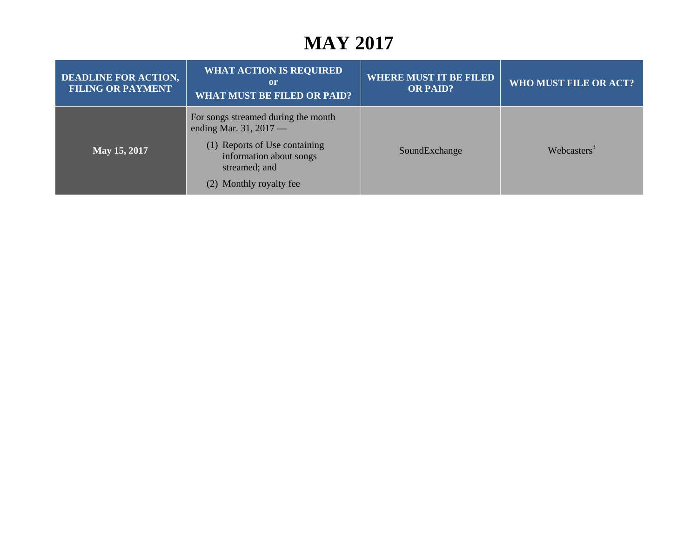## <span id="page-10-0"></span>**MAY 2017**

| <b>DEADLINE FOR ACTION,</b><br><b>FILING OR PAYMENT</b> | <b>WHAT ACTION IS REQUIRED</b><br><sub>or</sub><br><b>WHAT MUST BE FILED OR PAID?</b>                | <b>WHERE MUST IT BE FILED</b><br><b>OR PAID?</b> | <b>WHO MUST FILE OR ACT?</b> |
|---------------------------------------------------------|------------------------------------------------------------------------------------------------------|--------------------------------------------------|------------------------------|
|                                                         | For songs streamed during the month<br>ending Mar. 31, $2017$ —                                      |                                                  |                              |
| May 15, 2017                                            | (1) Reports of Use containing<br>information about songs<br>streamed; and<br>(2) Monthly royalty fee | SoundExchange                                    | Webcasters <sup>3</sup>      |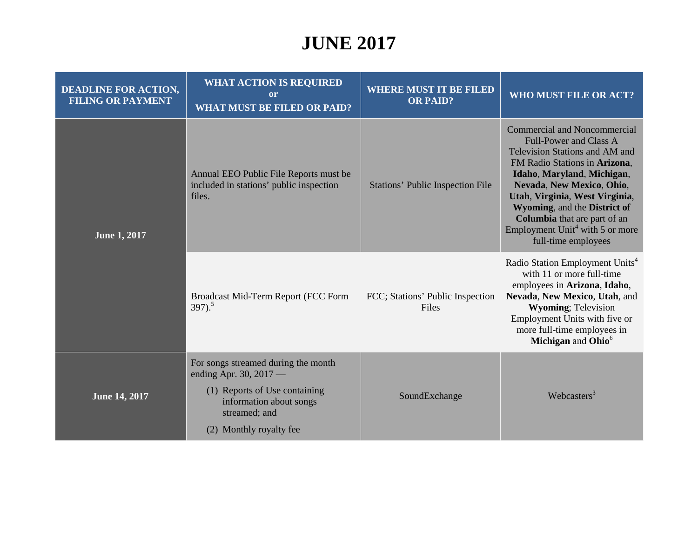# **JUNE 2017**

| <b>DEADLINE FOR ACTION,</b><br><b>FILING OR PAYMENT</b> | <b>WHAT ACTION IS REQUIRED</b><br><sub>or</sub><br><b>WHAT MUST BE FILED OR PAID?</b>                                                                                 | <b>WHERE MUST IT BE FILED</b><br><b>OR PAID?</b> | WHO MUST FILE OR ACT?                                                                                                                                                                                                                                                                                                                                               |
|---------------------------------------------------------|-----------------------------------------------------------------------------------------------------------------------------------------------------------------------|--------------------------------------------------|---------------------------------------------------------------------------------------------------------------------------------------------------------------------------------------------------------------------------------------------------------------------------------------------------------------------------------------------------------------------|
| <b>June 1, 2017</b>                                     | Annual EEO Public File Reports must be<br>included in stations' public inspection<br>files.                                                                           | <b>Stations' Public Inspection File</b>          | Commercial and Noncommercial<br><b>Full-Power and Class A</b><br>Television Stations and AM and<br>FM Radio Stations in Arizona,<br>Idaho, Maryland, Michigan,<br>Nevada, New Mexico, Ohio,<br>Utah, Virginia, West Virginia,<br>Wyoming, and the District of<br>Columbia that are part of an<br>Employment Unit <sup>4</sup> with 5 or more<br>full-time employees |
|                                                         | Broadcast Mid-Term Report (FCC Form<br>$397)$ <sup>5</sup>                                                                                                            | FCC; Stations' Public Inspection<br>Files        | Radio Station Employment Units <sup>4</sup><br>with 11 or more full-time<br>employees in Arizona, Idaho,<br>Nevada, New Mexico, Utah, and<br><b>Wyoming</b> ; Television<br>Employment Units with five or<br>more full-time employees in<br>Michigan and Ohio <sup>6</sup>                                                                                          |
| <b>June 14, 2017</b>                                    | For songs streamed during the month<br>ending Apr. 30, 2017 —<br>(1) Reports of Use containing<br>information about songs<br>streamed; and<br>(2) Monthly royalty fee | SoundExchange                                    | Webcasters $3$                                                                                                                                                                                                                                                                                                                                                      |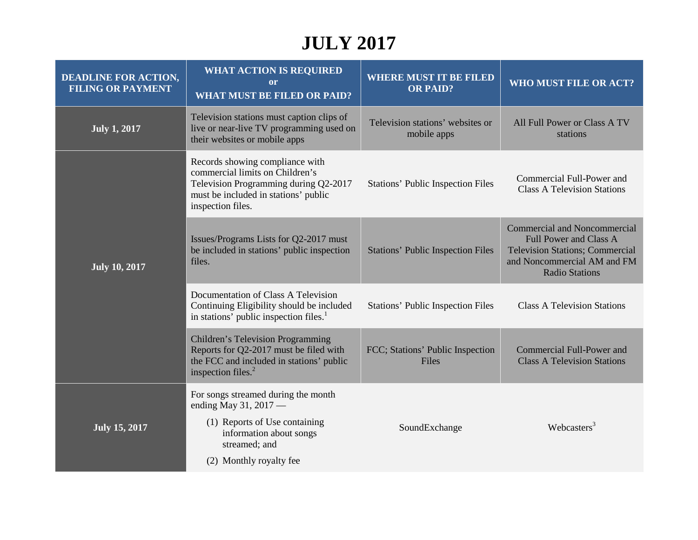# **JULY 2017**

| <b>DEADLINE FOR ACTION,</b><br><b>FILING OR PAYMENT</b> | <b>WHAT ACTION IS REQUIRED</b><br><b>or</b><br><b>WHAT MUST BE FILED OR PAID?</b>                                                                                        | <b>WHERE MUST IT BE FILED</b><br><b>OR PAID?</b> | WHO MUST FILE OR ACT?                                                                                                                                                  |
|---------------------------------------------------------|--------------------------------------------------------------------------------------------------------------------------------------------------------------------------|--------------------------------------------------|------------------------------------------------------------------------------------------------------------------------------------------------------------------------|
| <b>July 1, 2017</b>                                     | Television stations must caption clips of<br>live or near-live TV programming used on<br>their websites or mobile apps                                                   | Television stations' websites or<br>mobile apps  | All Full Power or Class A TV<br>stations                                                                                                                               |
| <b>July 10, 2017</b>                                    | Records showing compliance with<br>commercial limits on Children's<br>Television Programming during Q2-2017<br>must be included in stations' public<br>inspection files. | <b>Stations' Public Inspection Files</b>         | Commercial Full-Power and<br><b>Class A Television Stations</b>                                                                                                        |
|                                                         | Issues/Programs Lists for Q2-2017 must<br>be included in stations' public inspection<br>files.                                                                           | <b>Stations' Public Inspection Files</b>         | <b>Commercial and Noncommercial</b><br><b>Full Power and Class A</b><br><b>Television Stations; Commercial</b><br>and Noncommercial AM and FM<br><b>Radio Stations</b> |
|                                                         | Documentation of Class A Television<br>Continuing Eligibility should be included<br>in stations' public inspection files. <sup>1</sup>                                   | <b>Stations' Public Inspection Files</b>         | <b>Class A Television Stations</b>                                                                                                                                     |
|                                                         | Children's Television Programming<br>Reports for Q2-2017 must be filed with<br>the FCC and included in stations' public<br>inspection files. <sup>2</sup>                | FCC; Stations' Public Inspection<br>Files        | Commercial Full-Power and<br><b>Class A Television Stations</b>                                                                                                        |
| <b>July 15, 2017</b>                                    | For songs streamed during the month<br>ending May 31, 2017 -                                                                                                             |                                                  |                                                                                                                                                                        |
|                                                         | (1) Reports of Use containing<br>information about songs<br>streamed; and                                                                                                | SoundExchange                                    | Webcasters <sup>3</sup>                                                                                                                                                |
|                                                         | (2) Monthly royalty fee                                                                                                                                                  |                                                  |                                                                                                                                                                        |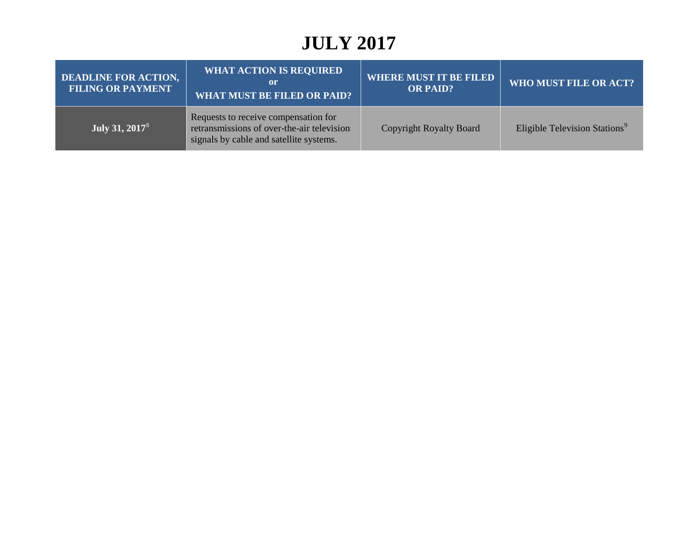## **JULY 2017**

| <b>DEADLINE FOR ACTION,</b><br><b>FILING OR PAYMENT</b> | <b>WHAT ACTION IS REQUIRED</b><br>or<br>WHAT MUST BE FILED OR PAID?                                                           | <b>WHERE MUST IT BE FILED</b><br><b>OR PAID?</b> | WHO MUST FILE OR ACT?                     |
|---------------------------------------------------------|-------------------------------------------------------------------------------------------------------------------------------|--------------------------------------------------|-------------------------------------------|
| July 31, 2017 <sup>8</sup>                              | Requests to receive compensation for<br>retransmissions of over-the-air television<br>signals by cable and satellite systems. | <b>Copyright Royalty Board</b>                   | Eligible Television Stations <sup>9</sup> |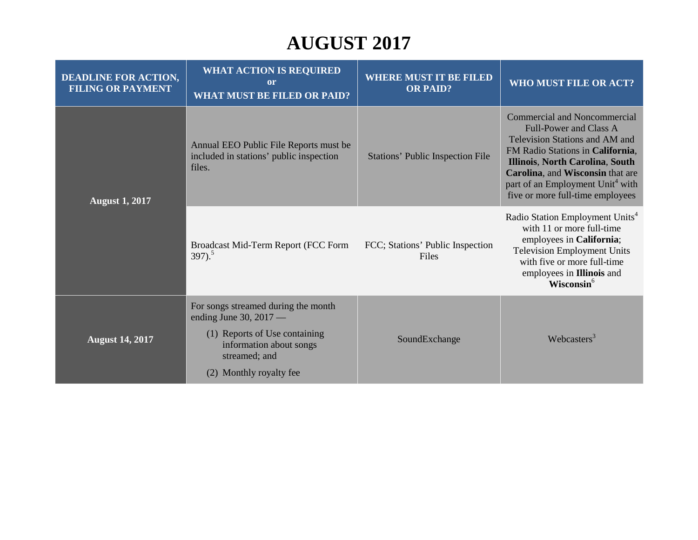# **AUGUST 2017**

| <b>DEADLINE FOR ACTION,</b><br><b>FILING OR PAYMENT</b> | <b>WHAT ACTION IS REQUIRED</b><br>or<br><b>WHAT MUST BE FILED OR PAID?</b>                                                                                                 | <b>WHERE MUST IT BE FILED</b><br><b>OR PAID?</b> | WHO MUST FILE OR ACT?                                                                                                                                                                                                                                                                                 |
|---------------------------------------------------------|----------------------------------------------------------------------------------------------------------------------------------------------------------------------------|--------------------------------------------------|-------------------------------------------------------------------------------------------------------------------------------------------------------------------------------------------------------------------------------------------------------------------------------------------------------|
| <b>August 1, 2017</b>                                   | Annual EEO Public File Reports must be<br>included in stations' public inspection<br>files.                                                                                | <b>Stations' Public Inspection File</b>          | <b>Commercial and Noncommercial</b><br><b>Full-Power and Class A</b><br>Television Stations and AM and<br>FM Radio Stations in California,<br>Illinois, North Carolina, South<br>Carolina, and Wisconsin that are<br>part of an Employment Unit <sup>4</sup> with<br>five or more full-time employees |
|                                                         | Broadcast Mid-Term Report (FCC Form<br>$397)^5$                                                                                                                            | FCC; Stations' Public Inspection<br>Files        | Radio Station Employment Units <sup>4</sup><br>with 11 or more full-time<br>employees in California;<br><b>Television Employment Units</b><br>with five or more full-time<br>employees in <b>Illinois</b> and<br>Wisconsin <sup>6</sup>                                                               |
| <b>August 14, 2017</b>                                  | For songs streamed during the month<br>ending June 30, $2017$ —<br>(1) Reports of Use containing<br>information about songs<br>streamed; and<br>Monthly royalty fee<br>(2) | SoundExchange                                    | Webcasters <sup>3</sup>                                                                                                                                                                                                                                                                               |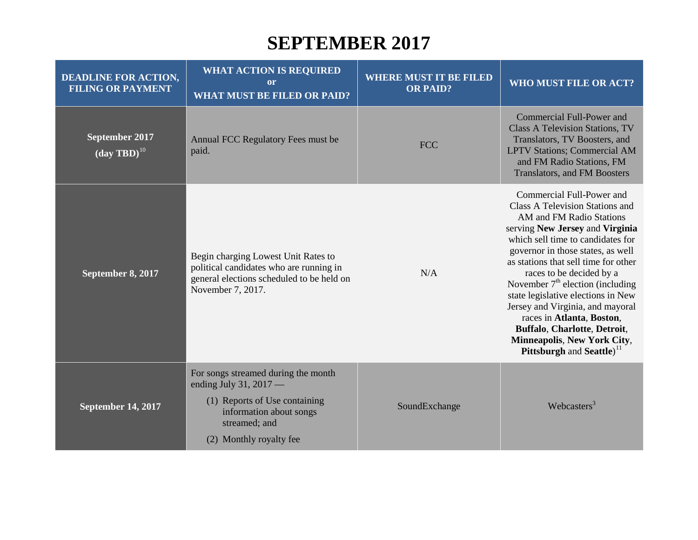#### **SEPTEMBER 2017**

| <b>DEADLINE FOR ACTION,</b><br><b>FILING OR PAYMENT</b> | <b>WHAT ACTION IS REQUIRED</b><br>or<br><b>WHAT MUST BE FILED OR PAID?</b>                                                                                            | <b>WHERE MUST IT BE FILED</b><br><b>OR PAID?</b> | <b>WHO MUST FILE OR ACT?</b>                                                                                                                                                                                                                                                                                                                                                                                                                                                                                                          |
|---------------------------------------------------------|-----------------------------------------------------------------------------------------------------------------------------------------------------------------------|--------------------------------------------------|---------------------------------------------------------------------------------------------------------------------------------------------------------------------------------------------------------------------------------------------------------------------------------------------------------------------------------------------------------------------------------------------------------------------------------------------------------------------------------------------------------------------------------------|
| September 2017<br>$(\text{day TBD})^{10}$               | Annual FCC Regulatory Fees must be<br>paid.                                                                                                                           | <b>FCC</b>                                       | Commercial Full-Power and<br><b>Class A Television Stations, TV</b><br>Translators, TV Boosters, and<br><b>LPTV Stations; Commercial AM</b><br>and FM Radio Stations, FM<br>Translators, and FM Boosters                                                                                                                                                                                                                                                                                                                              |
| September 8, 2017                                       | Begin charging Lowest Unit Rates to<br>political candidates who are running in<br>general elections scheduled to be held on<br>November 7, 2017.                      | N/A                                              | Commercial Full-Power and<br><b>Class A Television Stations and</b><br>AM and FM Radio Stations<br>serving New Jersey and Virginia<br>which sell time to candidates for<br>governor in those states, as well<br>as stations that sell time for other<br>races to be decided by a<br>November $7th$ election (including<br>state legislative elections in New<br>Jersey and Virginia, and mayoral<br>races in Atlanta, Boston,<br>Buffalo, Charlotte, Detroit,<br>Minneapolis, New York City,<br>Pittsburgh and Seattle) <sup>11</sup> |
| <b>September 14, 2017</b>                               | For songs streamed during the month<br>ending July 31, 2017 -<br>(1) Reports of Use containing<br>information about songs<br>streamed; and<br>(2) Monthly royalty fee | SoundExchange                                    | Webcasters <sup>3</sup>                                                                                                                                                                                                                                                                                                                                                                                                                                                                                                               |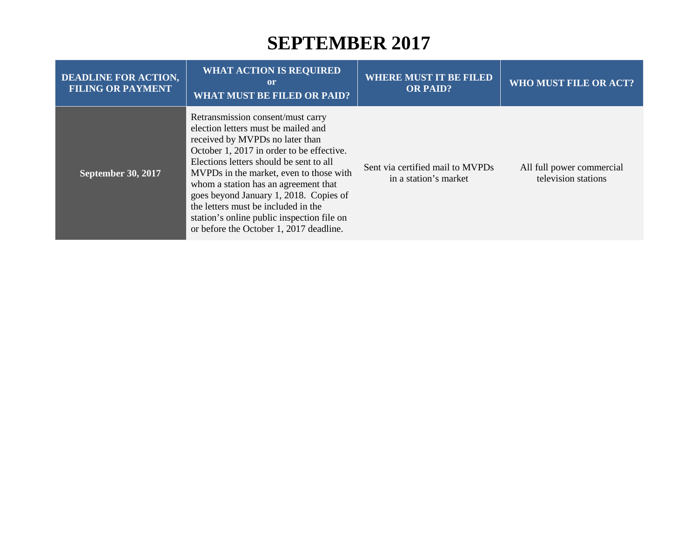#### **SEPTEMBER 2017**

| <b>DEADLINE FOR ACTION,</b><br><b>FILING OR PAYMENT</b> | <b>WHAT ACTION IS REQUIRED</b><br>or<br><b>WHAT MUST BE FILED OR PAID?</b>                                                                                                                                                                                                                                                                                                                                                                                       | <b>WHERE MUST IT BE FILED</b><br><b>OR PAID?</b>          | <b>WHO MUST FILE OR ACT?</b>                     |
|---------------------------------------------------------|------------------------------------------------------------------------------------------------------------------------------------------------------------------------------------------------------------------------------------------------------------------------------------------------------------------------------------------------------------------------------------------------------------------------------------------------------------------|-----------------------------------------------------------|--------------------------------------------------|
| <b>September 30, 2017</b>                               | Retransmission consent/must carry<br>election letters must be mailed and<br>received by MVPDs no later than<br>October 1, 2017 in order to be effective.<br>Elections letters should be sent to all<br>MVPDs in the market, even to those with<br>whom a station has an agreement that<br>goes beyond January 1, 2018. Copies of<br>the letters must be included in the<br>station's online public inspection file on<br>or before the October 1, 2017 deadline. | Sent via certified mail to MVPDs<br>in a station's market | All full power commercial<br>television stations |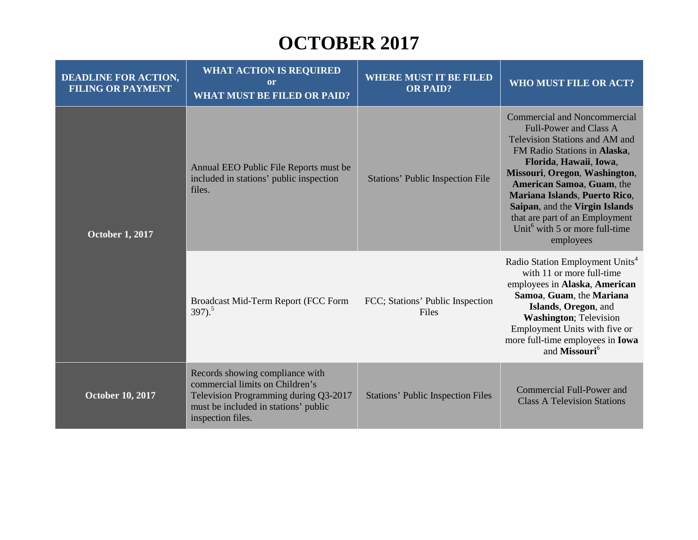## **OCTOBER 2017**

| <b>DEADLINE FOR ACTION,</b><br><b>FILING OR PAYMENT</b> | <b>WHAT ACTION IS REQUIRED</b><br>or<br><b>WHAT MUST BE FILED OR PAID?</b>                                                                                               | <b>WHERE MUST IT BE FILED</b><br><b>OR PAID?</b> | <b>WHO MUST FILE OR ACT?</b>                                                                                                                                                                                                                                                                                                                                                                   |
|---------------------------------------------------------|--------------------------------------------------------------------------------------------------------------------------------------------------------------------------|--------------------------------------------------|------------------------------------------------------------------------------------------------------------------------------------------------------------------------------------------------------------------------------------------------------------------------------------------------------------------------------------------------------------------------------------------------|
| <b>October 1, 2017</b>                                  | Annual EEO Public File Reports must be<br>included in stations' public inspection<br>files.                                                                              | <b>Stations' Public Inspection File</b>          | <b>Commercial and Noncommercial</b><br><b>Full-Power and Class A</b><br>Television Stations and AM and<br>FM Radio Stations in Alaska,<br>Florida, Hawaii, Iowa,<br>Missouri, Oregon, Washington,<br>American Samoa, Guam, the<br>Mariana Islands, Puerto Rico,<br>Saipan, and the Virgin Islands<br>that are part of an Employment<br>Unit <sup>6</sup> with 5 or more full-time<br>employees |
|                                                         | Broadcast Mid-Term Report (FCC Form<br>$397)$ <sup>5</sup>                                                                                                               | FCC; Stations' Public Inspection<br>Files        | Radio Station Employment Units <sup>4</sup><br>with 11 or more full-time<br>employees in Alaska, American<br>Samoa, Guam, the Mariana<br>Islands, Oregon, and<br><b>Washington</b> ; Television<br>Employment Units with five or<br>more full-time employees in <b>Iowa</b><br>and Missouri <sup>6</sup>                                                                                       |
| <b>October 10, 2017</b>                                 | Records showing compliance with<br>commercial limits on Children's<br>Television Programming during Q3-2017<br>must be included in stations' public<br>inspection files. | <b>Stations' Public Inspection Files</b>         | Commercial Full-Power and<br><b>Class A Television Stations</b>                                                                                                                                                                                                                                                                                                                                |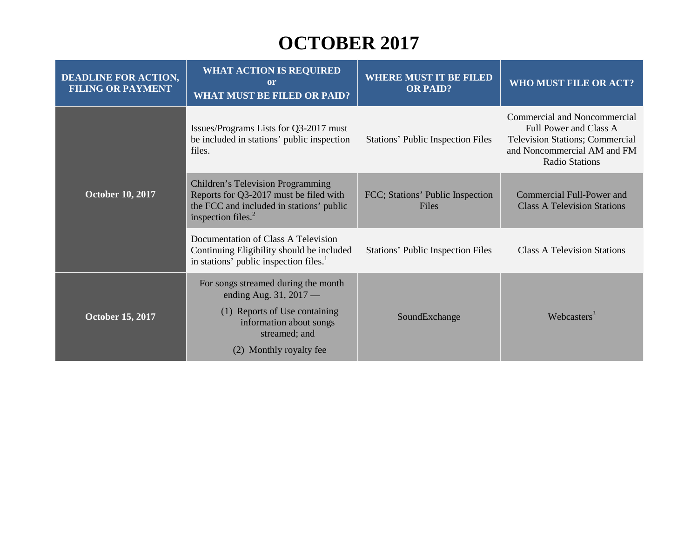# **OCTOBER 2017**

| <b>DEADLINE FOR ACTION,</b><br><b>FILING OR PAYMENT</b> | <b>WHAT ACTION IS REQUIRED</b><br><sub>or</sub><br><b>WHAT MUST BE FILED OR PAID?</b>                                                                   | <b>WHERE MUST IT BE FILED</b><br><b>OR PAID?</b> | WHO MUST FILE OR ACT?                                                                                                                                    |
|---------------------------------------------------------|---------------------------------------------------------------------------------------------------------------------------------------------------------|--------------------------------------------------|----------------------------------------------------------------------------------------------------------------------------------------------------------|
| <b>October 10, 2017</b>                                 | Issues/Programs Lists for Q3-2017 must<br>be included in stations' public inspection<br>files.                                                          | <b>Stations' Public Inspection Files</b>         | Commercial and Noncommercial<br>Full Power and Class A<br><b>Television Stations; Commercial</b><br>and Noncommercial AM and FM<br><b>Radio Stations</b> |
|                                                         | <b>Children's Television Programming</b><br>Reports for Q3-2017 must be filed with<br>the FCC and included in stations' public<br>inspection files. $2$ | FCC; Stations' Public Inspection<br>Files        | Commercial Full-Power and<br><b>Class A Television Stations</b>                                                                                          |
|                                                         | Documentation of Class A Television<br>Continuing Eligibility should be included<br>in stations' public inspection files. <sup>1</sup>                  | Stations' Public Inspection Files                | <b>Class A Television Stations</b>                                                                                                                       |
| <b>October 15, 2017</b>                                 | For songs streamed during the month<br>ending Aug. $31, 2017$ —<br>(1) Reports of Use containing<br>information about songs<br>streamed; and            | SoundExchange                                    | Webcasters <sup>3</sup>                                                                                                                                  |
|                                                         | (2) Monthly royalty fee                                                                                                                                 |                                                  |                                                                                                                                                          |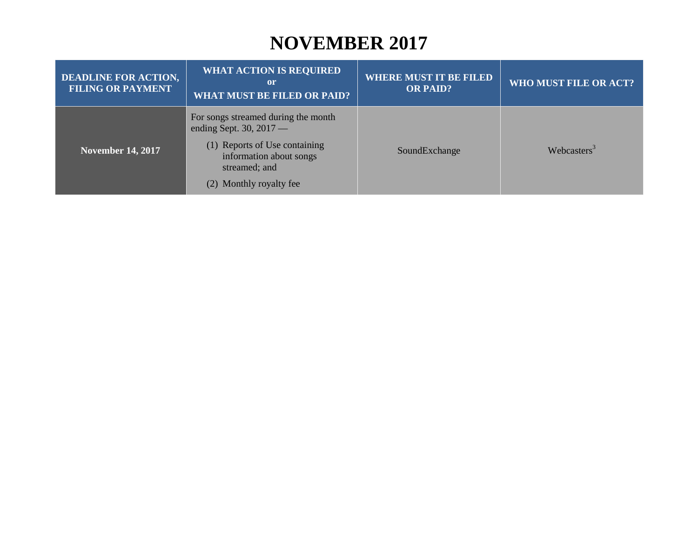#### **NOVEMBER 2017**

| <b>DEADLINE FOR ACTION,</b><br><b>FILING OR PAYMENT</b> | <b>WHAT ACTION IS REQUIRED</b><br>or<br><b>WHAT MUST BE FILED OR PAID?</b>                                                                                               | <b>WHERE MUST IT BE FILED</b><br><b>OR PAID?</b> | WHO MUST FILE OR ACT?   |
|---------------------------------------------------------|--------------------------------------------------------------------------------------------------------------------------------------------------------------------------|--------------------------------------------------|-------------------------|
| <b>November 14, 2017</b>                                | For songs streamed during the month<br>ending Sept. 30, $2017$ —<br>(1) Reports of Use containing<br>information about songs<br>streamed; and<br>(2) Monthly royalty fee | SoundExchange                                    | Webcasters <sup>3</sup> |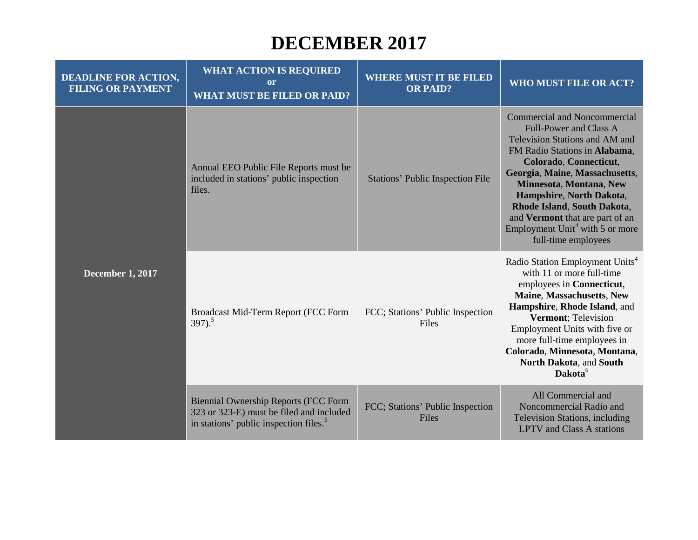#### **DECEMBER 2017**

| <b>DEADLINE FOR ACTION,</b><br><b>FILING OR PAYMENT</b> | <b>WHAT ACTION IS REQUIRED</b><br><sub>or</sub><br><b>WHAT MUST BE FILED OR PAID?</b>                                                         | <b>WHERE MUST IT BE FILED</b><br><b>OR PAID?</b> | <b>WHO MUST FILE OR ACT?</b>                                                                                                                                                                                                                                                                                                                                                                       |
|---------------------------------------------------------|-----------------------------------------------------------------------------------------------------------------------------------------------|--------------------------------------------------|----------------------------------------------------------------------------------------------------------------------------------------------------------------------------------------------------------------------------------------------------------------------------------------------------------------------------------------------------------------------------------------------------|
| <b>December 1, 2017</b>                                 | Annual EEO Public File Reports must be<br>included in stations' public inspection<br>files.                                                   | <b>Stations' Public Inspection File</b>          | <b>Commercial and Noncommercial</b><br><b>Full-Power and Class A</b><br>Television Stations and AM and<br>FM Radio Stations in Alabama,<br>Colorado, Connecticut,<br>Georgia, Maine, Massachusetts,<br>Minnesota, Montana, New<br>Hampshire, North Dakota,<br>Rhode Island, South Dakota,<br>and Vermont that are part of an<br>Employment Unit <sup>4</sup> with 5 or more<br>full-time employees |
|                                                         | Broadcast Mid-Term Report (FCC Form<br>$397)$ <sup>5</sup>                                                                                    | FCC; Stations' Public Inspection<br>Files        | Radio Station Employment Units <sup>4</sup><br>with 11 or more full-time<br>employees in Connecticut,<br>Maine, Massachusetts, New<br>Hampshire, Rhode Island, and<br>Vermont; Television<br>Employment Units with five or<br>more full-time employees in<br>Colorado, Minnesota, Montana,<br>North Dakota, and South<br>Dakota <sup>6</sup>                                                       |
|                                                         | <b>Biennial Ownership Reports (FCC Form</b><br>323 or 323-E) must be filed and included<br>in stations' public inspection files. <sup>5</sup> | FCC; Stations' Public Inspection<br>Files        | All Commercial and<br>Noncommercial Radio and<br>Television Stations, including<br><b>LPTV</b> and Class A stations                                                                                                                                                                                                                                                                                |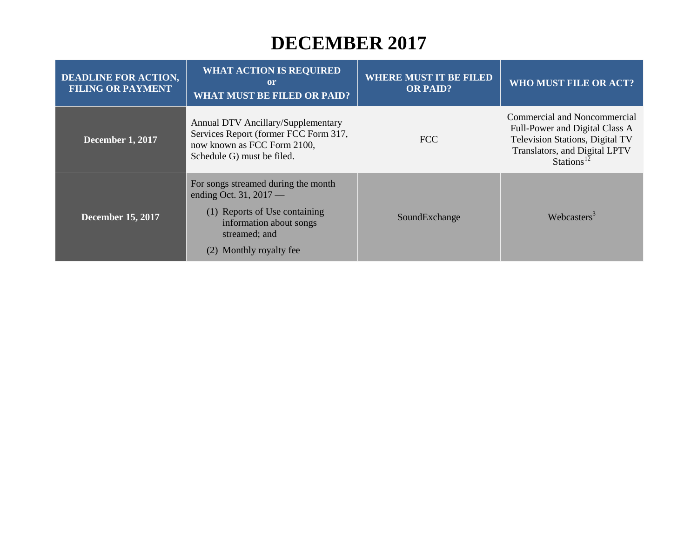#### **DECEMBER 2017**

| <b>DEADLINE FOR ACTION,</b><br><b>FILING OR PAYMENT</b> | <b>WHAT ACTION IS REQUIRED</b><br><sub>or</sub><br><b>WHAT MUST BE FILED OR PAID?</b>                                                                                      | <b>WHERE MUST IT BE FILED</b><br><b>OR PAID?</b> | <b>WHO MUST FILE OR ACT?</b>                                                                                                                          |
|---------------------------------------------------------|----------------------------------------------------------------------------------------------------------------------------------------------------------------------------|--------------------------------------------------|-------------------------------------------------------------------------------------------------------------------------------------------------------|
| <b>December 1, 2017</b>                                 | Annual DTV Ancillary/Supplementary<br>Services Report (former FCC Form 317,<br>now known as FCC Form 2100,<br>Schedule G) must be filed.                                   | FCC                                              | Commercial and Noncommercial<br>Full-Power and Digital Class A<br>Television Stations, Digital TV<br>Translators, and Digital LPTV<br><b>Stations</b> |
| <b>December 15, 2017</b>                                | For songs streamed during the month<br>ending Oct. 31, $2017$ —<br>(1) Reports of Use containing<br>information about songs<br>streamed; and<br>Monthly royalty fee<br>(2) | SoundExchange                                    | Webcasters <sup>3</sup>                                                                                                                               |